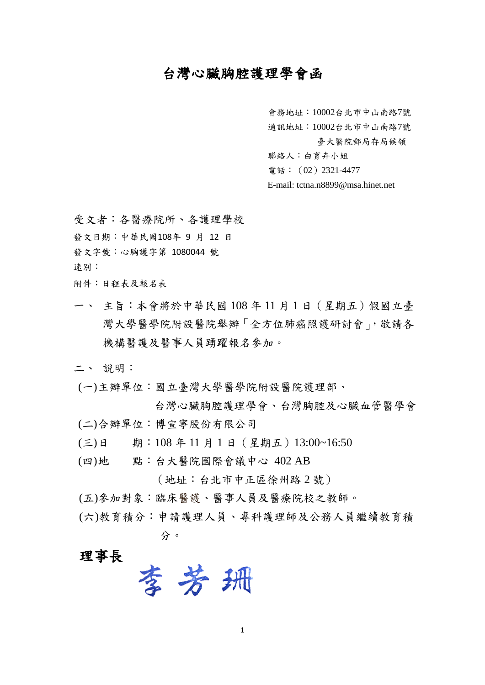## 台灣心臟胸腔護理學會函

會務地址:10002台北市中山南路7號

通訊地址:10002台北市中山南路7號

臺大醫院郵局存局候領

聯絡人:白育卉小姐

電話:(02)2321-4477

E-mail: tctna.n8899@msa.hinet.net

受文者:各醫療院所、各護理學校 發文日期:中華民國108年 9 月 12 日 發文字號:心胸護字第 1080044 號 速別:

附件:日程表及報名表

一、 主旨:本會將於中華民國 108 年 11 月 1 日(星期五)假國立臺 灣大學醫學院附設醫院舉辦「全方位肺癌照護研討會」, 敬請各 機構醫護及醫事人員踴躍報名參加。

二、 說明:

(一)主辦單位:國立臺灣大學醫學院附設醫院護理部、

台灣心臟胸腔護理學會、台灣胸腔及心臟血管醫學會 (二)合辦單位:博宣寧股份有限公司

- (三)日 期:108 年 11 月 1 日(星期五)13:00~16:50
- (四)地 點:台大醫院國際會議中心 402 AB

(地址:台北市中正區徐州路 2 號)

(五)參加對象:臨床醫護、醫事人員及醫療院校之教師。

(六)教育積分:申請護理人員、專科護理師及公務人員繼續教育積 分。

# 理事長

李芳子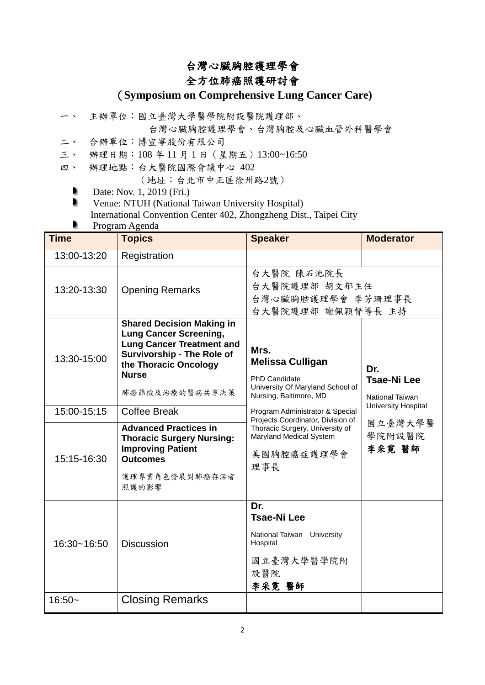## 台灣心臟胸腔護理學會

## 全方位肺癌照護研討會

### (**Symposium on Comprehensive Lung Cancer Care)**

一、 主辦單位:國立臺灣大學醫學院附設醫院護理部、

台灣心臟胸腔護理學會、台灣胸腔及心臟血管外科醫學會

- 二、 合辦單位:博宣寧股份有限公司
- 三、 辦理日期:108 年 11 月 1 日(星期五)13:00~16:50
- 四、 辦理地點:台大醫院國際會議中心 402

(地址:台北市中正區徐州路2號)

- ٠ Date: Nov. 1, 2019 (Fri.)
- b Venue: NTUH (National Taiwan University Hospital) International Convention Center 402, Zhongzheng Dist., Taipei City

Program Agenda

| <b>Time</b> | 1 rugiam Agunua<br><b>Topics</b>                                                                                                                                                                      | <b>Speaker</b>                                                                                                        | <b>Moderator</b>                             |
|-------------|-------------------------------------------------------------------------------------------------------------------------------------------------------------------------------------------------------|-----------------------------------------------------------------------------------------------------------------------|----------------------------------------------|
| 13:00-13:20 | Registration                                                                                                                                                                                          |                                                                                                                       |                                              |
| 13:20-13:30 | <b>Opening Remarks</b>                                                                                                                                                                                | 台大醫院 陳石池院長<br>台大醫院護理部 胡文郁主任<br>台灣心臟胸腔護理學會 李芳珊理事長<br>台大醫院護理部 謝佩穎督導長 主持                                                 |                                              |
| 13:30-15:00 | <b>Shared Decision Making in</b><br><b>Lung Cancer Screening,</b><br><b>Lung Cancer Treatment and</b><br><b>Survivorship - The Role of</b><br>the Thoracic Oncology<br><b>Nurse</b><br>肺癌篩檢及治療的醫病共享決策 | Mrs.<br><b>Melissa Culligan</b><br><b>PhD Candidate</b><br>University Of Maryland School of<br>Nursing, Baltimore, MD | Dr.<br><b>Tsae-Ni Lee</b><br>National Taiwan |
| 15:00-15:15 | <b>Coffee Break</b>                                                                                                                                                                                   | Program Administrator & Special<br>Projects Coordinator, Division of                                                  | University Hospital                          |
| 15:15-16:30 | <b>Advanced Practices in</b><br><b>Thoracic Surgery Nursing:</b><br><b>Improving Patient</b><br><b>Outcomes</b><br>護理專業角色發展對肺癌存活者<br>照護的影響                                                            | Thoracic Surgery, University of<br>Maryland Medical System<br>美國胸腔癌症護理學會<br>理事長                                       | 國立臺灣大學醫<br>學院附設醫院<br>李采霓 醫師                  |
| 16:30~16:50 | <b>Discussion</b>                                                                                                                                                                                     | Dr.<br><b>Tsae-Ni Lee</b><br>National Taiwan University<br>Hospital<br>國立臺灣大學醫學院附<br>設醫院<br>李采霓 醫師                    |                                              |
| $16:50-$    | <b>Closing Remarks</b>                                                                                                                                                                                |                                                                                                                       |                                              |